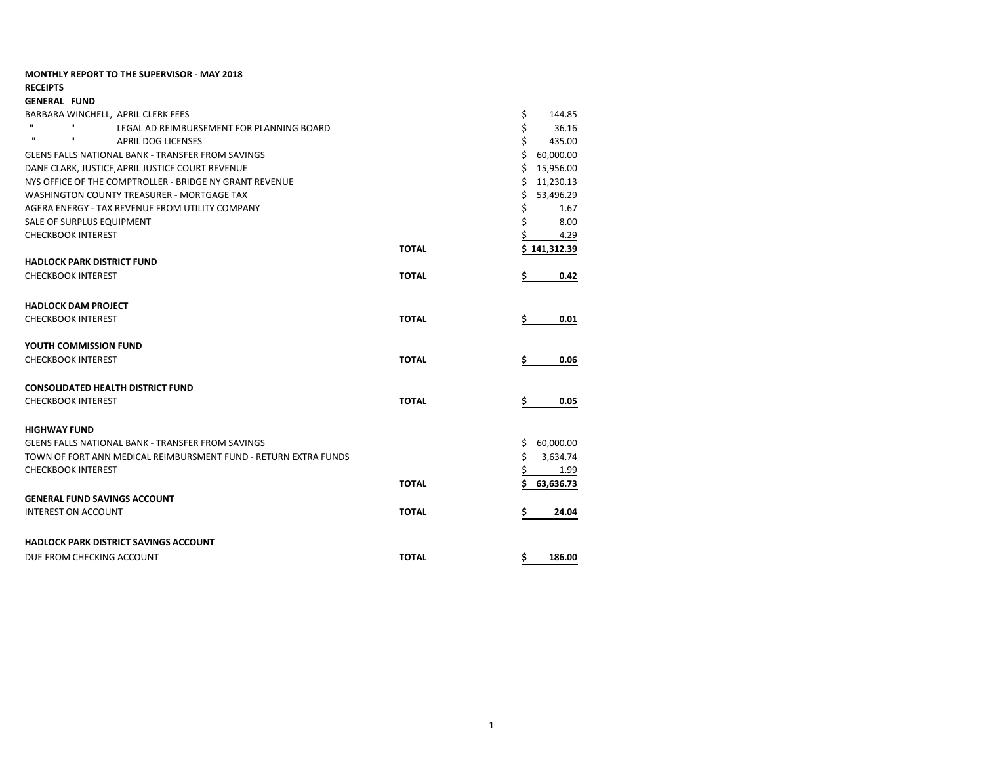| <b>MONTHLY REPORT TO THE SUPERVISOR - MAY 2018</b>                        |              |                 |
|---------------------------------------------------------------------------|--------------|-----------------|
| <b>RECEIPTS</b>                                                           |              |                 |
| <b>GENERAL FUND</b>                                                       |              |                 |
| BARBARA WINCHELL, APRIL CLERK FEES                                        |              | \$<br>144.85    |
| $\mathbf{u}$<br>$\mathbf{H}$<br>LEGAL AD REIMBURSEMENT FOR PLANNING BOARD |              | \$<br>36.16     |
| $\mathbf{H}$<br>п<br><b>APRIL DOG LICENSES</b>                            |              | \$<br>435.00    |
| GLENS FALLS NATIONAL BANK - TRANSFER FROM SAVINGS                         |              | \$<br>60,000.00 |
| DANE CLARK, JUSTICE APRIL JUSTICE COURT REVENUE                           |              | Ś<br>15,956.00  |
| NYS OFFICE OF THE COMPTROLLER - BRIDGE NY GRANT REVENUE                   |              | Ś.<br>11,230.13 |
| WASHINGTON COUNTY TREASURER - MORTGAGE TAX                                |              | 53,496.29<br>\$ |
| AGERA ENERGY - TAX REVENUE FROM UTILITY COMPANY                           |              | \$<br>1.67      |
| SALE OF SURPLUS EQUIPMENT                                                 |              | \$<br>8.00      |
| <b>CHECKBOOK INTEREST</b>                                                 |              | 4.29            |
|                                                                           | <b>TOTAL</b> | \$141,312.39    |
| <b>HADLOCK PARK DISTRICT FUND</b>                                         |              |                 |
| <b>CHECKBOOK INTEREST</b>                                                 | <b>TOTAL</b> | \$<br>0.42      |
| <b>HADLOCK DAM PROJECT</b>                                                |              |                 |
| <b>CHECKBOOK INTEREST</b>                                                 | <b>TOTAL</b> | 0.01            |
| YOUTH COMMISSION FUND                                                     |              |                 |
| <b>CHECKBOOK INTEREST</b>                                                 | <b>TOTAL</b> | 0.06<br>Ş       |
| <b>CONSOLIDATED HEALTH DISTRICT FUND</b>                                  |              |                 |
| <b>CHECKBOOK INTEREST</b>                                                 | <b>TOTAL</b> |                 |
|                                                                           |              | \$<br>0.05      |
| <b>HIGHWAY FUND</b>                                                       |              |                 |
| <b>GLENS FALLS NATIONAL BANK - TRANSFER FROM SAVINGS</b>                  |              | 60,000.00<br>\$ |
| TOWN OF FORT ANN MEDICAL REIMBURSMENT FUND - RETURN EXTRA FUNDS           |              | \$<br>3,634.74  |
| <b>CHECKBOOK INTEREST</b>                                                 |              | \$<br>1.99      |
|                                                                           | <b>TOTAL</b> | Ś<br>63,636.73  |
| <b>GENERAL FUND SAVINGS ACCOUNT</b>                                       |              |                 |
| <b>INTEREST ON ACCOUNT</b>                                                | <b>TOTAL</b> | 24.04<br>\$     |
| <b>HADLOCK PARK DISTRICT SAVINGS ACCOUNT</b>                              |              |                 |
| DUE FROM CHECKING ACCOUNT                                                 | <b>TOTAL</b> | \$<br>186.00    |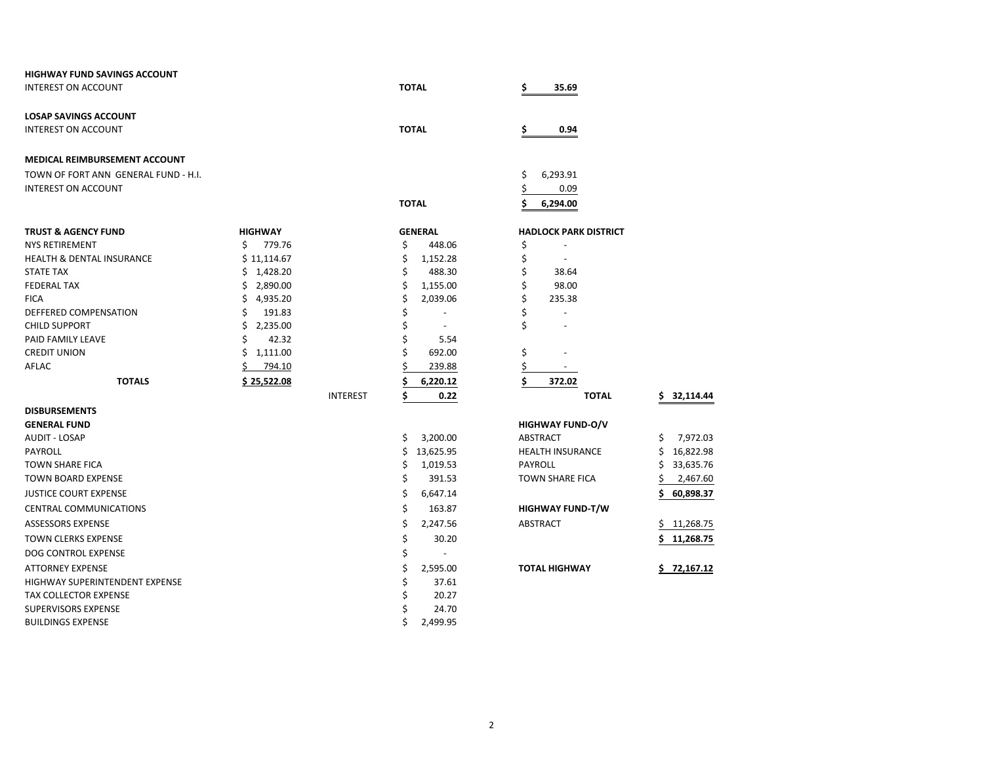| <b>HIGHWAY FUND SAVINGS ACCOUNT</b>  |                 |                 |                                |                              |                |
|--------------------------------------|-----------------|-----------------|--------------------------------|------------------------------|----------------|
| <b>INTEREST ON ACCOUNT</b>           |                 |                 | <b>TOTAL</b>                   | \$<br>35.69                  |                |
| <b>LOSAP SAVINGS ACCOUNT</b>         |                 |                 |                                |                              |                |
| <b>INTEREST ON ACCOUNT</b>           |                 |                 | <b>TOTAL</b>                   | \$<br>0.94                   |                |
| MEDICAL REIMBURSEMENT ACCOUNT        |                 |                 |                                |                              |                |
| TOWN OF FORT ANN GENERAL FUND - H.I. |                 |                 |                                | \$<br>6,293.91               |                |
| <b>INTEREST ON ACCOUNT</b>           |                 |                 |                                | \$<br>0.09                   |                |
|                                      |                 |                 | <b>TOTAL</b>                   | \$<br>6,294.00               |                |
| <b>TRUST &amp; AGENCY FUND</b>       | <b>HIGHWAY</b>  |                 | <b>GENERAL</b>                 | <b>HADLOCK PARK DISTRICT</b> |                |
| <b>NYS RETIREMENT</b>                | Ś.<br>779.76    |                 | \$<br>448.06                   | \$                           |                |
| <b>HEALTH &amp; DENTAL INSURANCE</b> | \$11,114.67     |                 | \$<br>1,152.28                 | \$<br>$\sim$                 |                |
| <b>STATE TAX</b>                     | \$1,428.20      |                 | \$<br>488.30                   | \$<br>38.64                  |                |
| <b>FEDERAL TAX</b>                   | \$2,890.00      |                 | \$<br>1,155.00                 | \$<br>98.00                  |                |
| <b>FICA</b>                          | 4,935.20<br>\$. |                 | \$<br>2,039.06                 | \$<br>235.38                 |                |
| DEFFERED COMPENSATION                | Ś<br>191.83     |                 | \$<br>$\overline{\phantom{a}}$ | \$<br>$\blacksquare$         |                |
| <b>CHILD SUPPORT</b>                 | \$<br>2,235.00  |                 | \$<br>$\sim$                   | \$                           |                |
| PAID FAMILY LEAVE                    | 42.32           |                 | \$<br>5.54                     |                              |                |
| <b>CREDIT UNION</b>                  | \$1,111.00      |                 | Ś<br>692.00                    | \$                           |                |
| AFLAC                                | 794.10          |                 | 239.88                         | \$                           |                |
| <b>TOTALS</b>                        | \$25,522.08     |                 | 6,220.12                       | \$<br>372.02                 |                |
|                                      |                 | <b>INTEREST</b> | \$<br>0.22                     | <b>TOTAL</b>                 | S<br>32,114.44 |
| <b>DISBURSEMENTS</b>                 |                 |                 |                                |                              |                |
| <b>GENERAL FUND</b>                  |                 |                 |                                | <b>HIGHWAY FUND-O/V</b>      |                |
| <b>AUDIT - LOSAP</b>                 |                 |                 | \$<br>3,200.00                 | ABSTRACT                     | \$<br>7,972.03 |
| PAYROLL                              |                 |                 | 13,625.95<br>\$                | <b>HEALTH INSURANCE</b>      | 16,822.98<br>S |
| <b>TOWN SHARE FICA</b>               |                 |                 | \$<br>1,019.53                 | PAYROLL                      | 33,635.76<br>S |
| <b>TOWN BOARD EXPENSE</b>            |                 |                 | \$<br>391.53                   | <b>TOWN SHARE FICA</b>       | 2,467.60       |
| <b>JUSTICE COURT EXPENSE</b>         |                 |                 | \$<br>6,647.14                 |                              | 60,898.37      |
| <b>CENTRAL COMMUNICATIONS</b>        |                 |                 | \$<br>163.87                   | <b>HIGHWAY FUND-T/W</b>      |                |
| <b>ASSESSORS EXPENSE</b>             |                 |                 | \$<br>2,247.56                 | ABSTRACT                     | 11,268.75<br>S |
| <b>TOWN CLERKS EXPENSE</b>           |                 |                 | \$<br>30.20                    |                              | 11,268.75      |
| DOG CONTROL EXPENSE                  |                 |                 | \$                             |                              |                |
| <b>ATTORNEY EXPENSE</b>              |                 |                 | \$<br>2,595.00                 | <b>TOTAL HIGHWAY</b>         | 72.167.12      |
| HIGHWAY SUPERINTENDENT EXPENSE       |                 |                 | \$<br>37.61                    |                              |                |
| <b>TAX COLLECTOR EXPENSE</b>         |                 |                 | \$<br>20.27                    |                              |                |
| <b>SUPERVISORS EXPENSE</b>           |                 |                 | Ś<br>24.70                     |                              |                |
| <b>BUILDINGS EXPENSE</b>             |                 |                 | Ś<br>2,499.95                  |                              |                |

| OCK PARK DISTRICT   |     |                       |
|---------------------|-----|-----------------------|
|                     |     |                       |
|                     |     |                       |
| 38.64               |     |                       |
| 98.00               |     |                       |
| 235.38              |     |                       |
|                     |     |                       |
|                     |     |                       |
|                     |     |                       |
|                     |     |                       |
|                     |     |                       |
| 372.02              |     |                       |
| <b>TOTAL</b>        |     | \$32,114.             |
|                     |     |                       |
|                     |     |                       |
| <b>NAY FUND-O/V</b> |     |                       |
| <b>ACT</b>          | \$. | 7,972.                |
| <b>H INSURANCE</b>  |     | \$16,822.             |
| JГГ                 |     | \$33,635.             |
| <b>SHARE FICA</b>   |     |                       |
|                     |     | $$2,467$ .<br>60,898. |
|                     | \$. |                       |
| <b>NAY FUND-T/W</b> |     |                       |
| <b>ACT</b>          |     | \$11,268.             |
|                     | \$  | 11,268.               |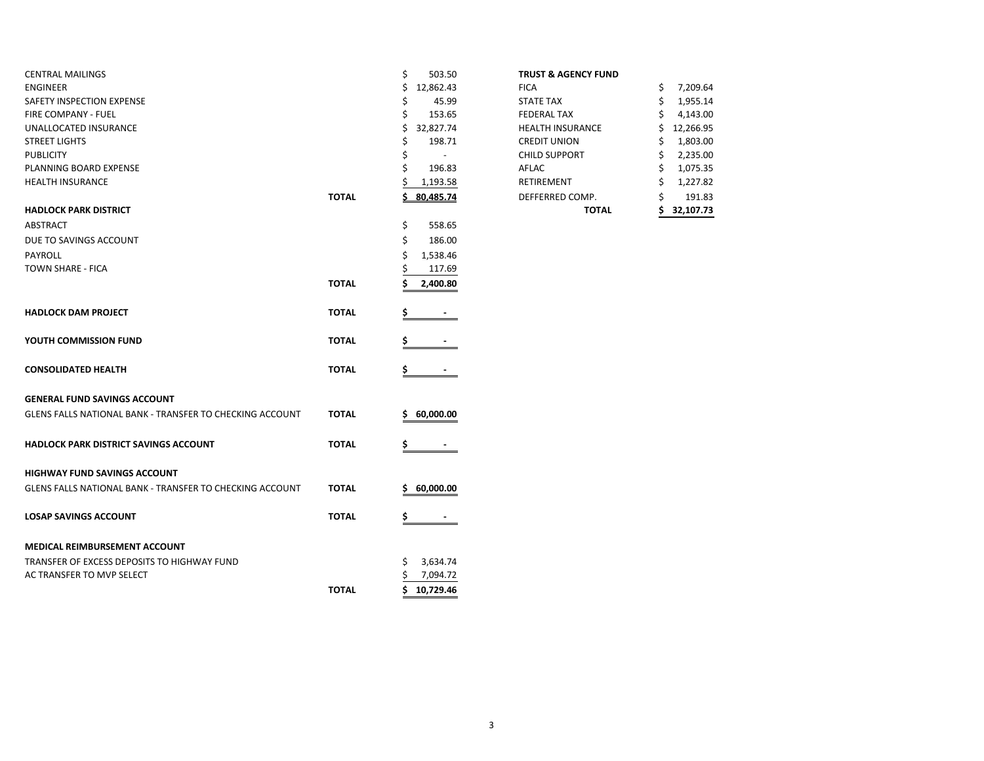| <b>CENTRAL MAILINGS</b>                                         |              | \$<br>503.50   | <b>TRUST &amp; AGENCY FUND</b> |                |
|-----------------------------------------------------------------|--------------|----------------|--------------------------------|----------------|
| <b>ENGINEER</b>                                                 |              | 12,862.43<br>Ś | <b>FICA</b>                    | 7,209.64<br>\$ |
| <b>SAFETY INSPECTION EXPENSE</b>                                |              | 45.99          | <b>STATE TAX</b>               | 1,955.14<br>S  |
| <b>FIRE COMPANY - FUEL</b>                                      |              | 153.65         | <b>FEDERAL TAX</b>             | 4,143.00       |
| UNALLOCATED INSURANCE                                           |              | 32,827.74<br>ς | <b>HEALTH INSURANCE</b>        | 12,266.95      |
| <b>STREET LIGHTS</b>                                            |              | 198.71         | <b>CREDIT UNION</b>            | 1,803.00       |
| <b>PUBLICITY</b>                                                |              | Ś              | <b>CHILD SUPPORT</b>           | 2,235.00<br>S  |
| PLANNING BOARD EXPENSE                                          |              | 196.83         | AFLAC                          | 1,075.35<br>S  |
| <b>HEALTH INSURANCE</b>                                         |              | 1,193.58       | RETIREMENT                     | 1,227.82       |
|                                                                 | <b>TOTAL</b> | 80,485.74      | DEFFERRED COMP.                | 191.83         |
| <b>HADLOCK PARK DISTRICT</b>                                    |              |                | <b>TOTAL</b>                   | 32,107.73      |
| <b>ABSTRACT</b>                                                 |              | \$<br>558.65   |                                |                |
| DUE TO SAVINGS ACCOUNT                                          |              | \$<br>186.00   |                                |                |
| PAYROLL                                                         |              | 1,538.46<br>S  |                                |                |
| TOWN SHARE - FICA                                               |              | 117.69         |                                |                |
|                                                                 | <b>TOTAL</b> | 2,400.80       |                                |                |
|                                                                 |              |                |                                |                |
| <b>HADLOCK DAM PROJECT</b>                                      | <b>TOTAL</b> |                |                                |                |
| YOUTH COMMISSION FUND                                           | <b>TOTAL</b> |                |                                |                |
| <b>CONSOLIDATED HEALTH</b>                                      | <b>TOTAL</b> | \$             |                                |                |
| <b>GENERAL FUND SAVINGS ACCOUNT</b>                             |              |                |                                |                |
| <b>GLENS FALLS NATIONAL BANK - TRANSFER TO CHECKING ACCOUNT</b> | <b>TOTAL</b> | 60,000.00<br>s |                                |                |
|                                                                 |              |                |                                |                |
| <b>HADLOCK PARK DISTRICT SAVINGS ACCOUNT</b>                    | <b>TOTAL</b> |                |                                |                |
| <b>HIGHWAY FUND SAVINGS ACCOUNT</b>                             |              |                |                                |                |
| <b>GLENS FALLS NATIONAL BANK - TRANSFER TO CHECKING ACCOUNT</b> | <b>TOTAL</b> | 60,000.00      |                                |                |
| <b>LOSAP SAVINGS ACCOUNT</b>                                    | <b>TOTAL</b> | Ş              |                                |                |
| <b>MEDICAL REIMBURSEMENT ACCOUNT</b>                            |              |                |                                |                |
| TRANSFER OF EXCESS DEPOSITS TO HIGHWAY FUND                     |              | 3,634.74<br>\$ |                                |                |
| AC TRANSFER TO MVP SELECT                                       |              | 7,094.72       |                                |                |
|                                                                 | <b>TOTAL</b> | \$10,729.46    |                                |                |
|                                                                 |              |                |                                |                |

|  |  | <b>TRUST &amp; AGENCY FUND</b> |  |
|--|--|--------------------------------|--|
|--|--|--------------------------------|--|

| 80,485.74 | DEFFERRED COMP.         | \$<br>1,227.82<br>\$<br>191.83                                |
|-----------|-------------------------|---------------------------------------------------------------|
|           |                         |                                                               |
|           | <b>RETIREMENT</b>       |                                                               |
| \$        | AFLAC                   | \$<br>1,075.35                                                |
| \$        | <b>CHILD SUPPORT</b>    | \$<br>2,235.00                                                |
| \$        | <b>CREDIT UNION</b>     | \$<br>1,803.00                                                |
| Ś.        | <b>HEALTH INSURANCE</b> | 12,266.95                                                     |
| \$        | <b>FEDERAL TAX</b>      | 4,143.00<br>\$                                                |
| \$        | <b>STATE TAX</b>        | \$<br>1,955.14                                                |
| \$        | <b>FICA</b>             | \$<br>7,209.64                                                |
|           | \$<br>1,193.58          | 12,862.43<br>45.99<br>153.65<br>32,827.74<br>198.71<br>196.83 |